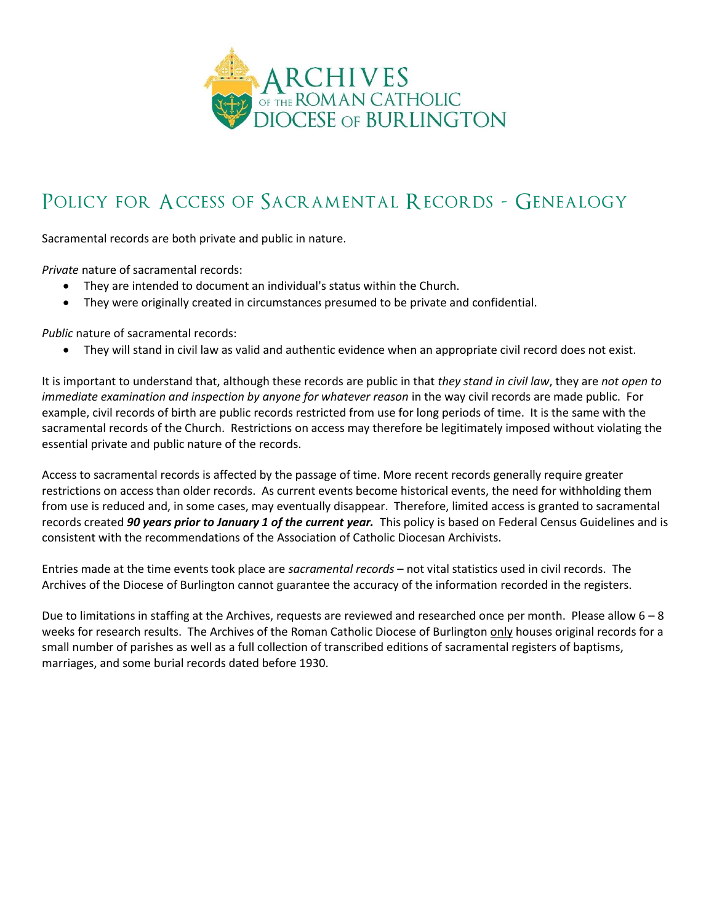

## POLICY FOR ACCESS OF SACRAMENTAL RECORDS - GENEALOGY

Sacramental records are both private and public in nature.

*Private* nature of sacramental records:

- They are intended to document an individual's status within the Church.
- They were originally created in circumstances presumed to be private and confidential.

*Public* nature of sacramental records:

• They will stand in civil law as valid and authentic evidence when an appropriate civil record does not exist.

It is important to understand that, although these records are public in that *they stand in civil law*, they are *not open to immediate examination and inspection by anyone for whatever reason* in the way civil records are made public. For example, civil records of birth are public records restricted from use for long periods of time. It is the same with the sacramental records of the Church. Restrictions on access may therefore be legitimately imposed without violating the essential private and public nature of the records.

Access to sacramental records is affected by the passage of time. More recent records generally require greater restrictions on access than older records. As current events become historical events, the need for withholding them from use is reduced and, in some cases, may eventually disappear. Therefore, limited access is granted to sacramental records created *90 years prior to January 1 of the current year.* This policy is based on Federal Census Guidelines and is consistent with the recommendations of the Association of Catholic Diocesan Archivists.

Entries made at the time events took place are *sacramental records* – not vital statistics used in civil records. The Archives of the Diocese of Burlington cannot guarantee the accuracy of the information recorded in the registers.

Due to limitations in staffing at the Archives, requests are reviewed and researched once per month. Please allow  $6 - 8$ weeks for research results. The Archives of the Roman Catholic Diocese of Burlington only houses original records for a small number of parishes as well as a full collection of transcribed editions of sacramental registers of baptisms, marriages, and some burial records dated before 1930.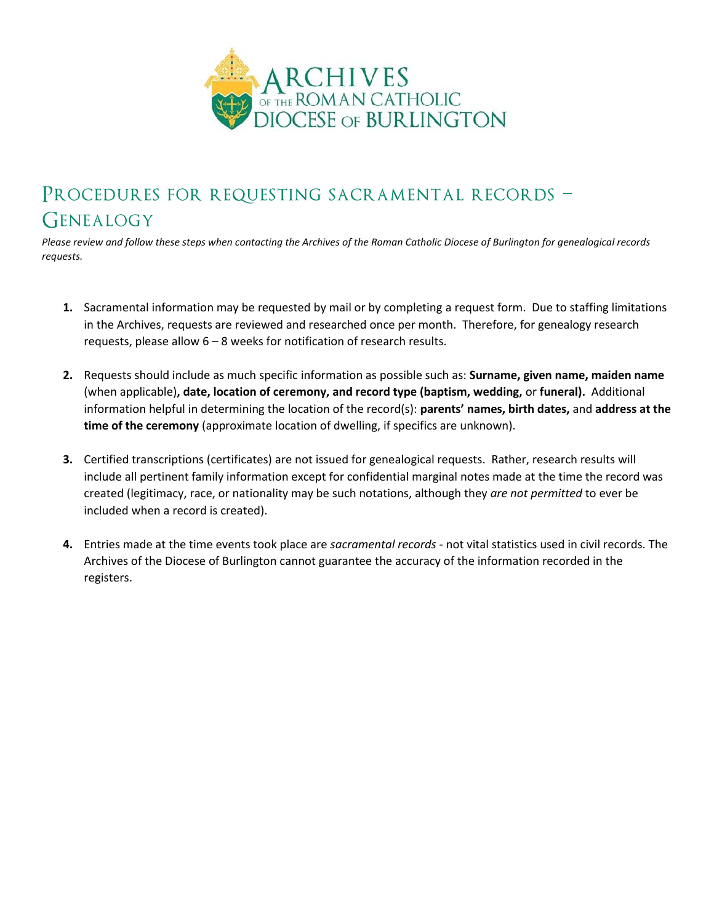

## Procedures for requesting sacramental records – **GENEALOGY**

*Please review and follow these steps when contacting the Archives of the Roman Catholic Diocese of Burlington for genealogical records requests.*

- **1.** Sacramental information may be requested by mail or by completing a request form. Due to staffing limitations in the Archives, requests are reviewed and researched once per month. Therefore, for genealogy research requests, please allow 6 – 8 weeks for notification of research results.
- **2.** Requests should include as much specific information as possible such as: **Surname, given name, maiden name**  (when applicable)**, date, location of ceremony, and record type (baptism, wedding,** or **funeral).** Additional information helpful in determining the location of the record(s): **parents' names, birth dates,** and **address at the time of the ceremony** (approximate location of dwelling, if specifics are unknown).
- **3.** Certified transcriptions (certificates) are not issued for genealogical requests. Rather, research results will include all pertinent family information except for confidential marginal notes made at the time the record was created (legitimacy, race, or nationality may be such notations, although they *are not permitted* to ever be included when a record is created).
- **4.** Entries made at the time events took place are *sacramental records* not vital statistics used in civil records. The Archives of the Diocese of Burlington cannot guarantee the accuracy of the information recorded in the registers.